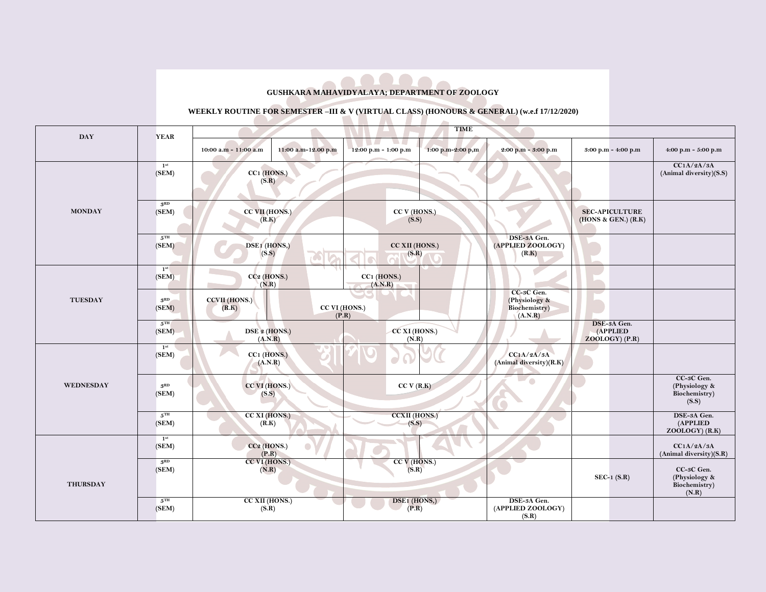**GUSHKARA MAHAVIDYALAYA; DEPARTMENT OF ZOOLOGY**

## **WEEKLY ROUTINE FOR SEMESTER –III & V (VIRTUAL CLASS) (HONOURS & GENERAL) (w.e.f 17/12/2020)**

| <b>DAY</b>      | <b>YEAR</b>                | <b>TIME</b>                                  |                                                                 |                                                         |                                              |                                                       |  |  |
|-----------------|----------------------------|----------------------------------------------|-----------------------------------------------------------------|---------------------------------------------------------|----------------------------------------------|-------------------------------------------------------|--|--|
|                 |                            | 11:00 a.m-12.00 p.m<br>10:00 a.m - 11:00 a.m | <b>TALL</b><br>. .<br>1:00 p.m-2:00 p,m<br>12:00 p.m - 1:00 p.m | 2:00 p.m - 3:00 p.m                                     | 3:00 p.m - 4:00 p.m                          | 4:00 p.m - 5:00 p.m                                   |  |  |
|                 | 1 <sup>st</sup><br>(SEM)   | CC1 (HONS.)<br>(S.R)                         |                                                                 |                                                         |                                              | CC1A/2A/3A<br>(Animal diversity)(S.S)                 |  |  |
| <b>MONDAY</b>   | 3 <sup>RD</sup><br>(SEM)   | CC VII (HONS.)<br>(R.K)                      | CC V (HONS.)<br>(S.S)                                           |                                                         | <b>SEC-APICULTURE</b><br>(HONS & GEN.) (R.K) |                                                       |  |  |
|                 | $5^{\mathrm{TH}}$<br>(SEM) | DSE1 (HONS,)<br>(S.S)                        | CC XII (HONS.)<br>(S.R)                                         | DSE-3A Gen.<br>(APPLIED ZOOLOGY)<br>(R.K)               |                                              |                                                       |  |  |
|                 | 1 <sup>st</sup><br>(SEM)   | $CC2$ (HONS.)<br>(N.R)                       | $CC1$ (HONS.)<br>(A.N.R)                                        |                                                         |                                              |                                                       |  |  |
| <b>TUESDAY</b>  | 3 <sup>RD</sup><br>(SEM)   | <b>CCVII</b> (HONS.)<br>(R.K)                | CC VI (HONS.)<br>(P.R)                                          | CC-3C Gen.<br>(Physiology &<br>Biochemistry)<br>(A.N.R) |                                              |                                                       |  |  |
|                 | $5^{\text{TH}}$<br>(SEM)   | DSE 2 (HONS.)<br>(A.N.R)                     | CC XI (HONS.)<br>(N.R)                                          |                                                         | DSE-3A Gen.<br>(APPLIED<br>$ZOOLOGY$ (P.R)   |                                                       |  |  |
| WEDNESDAY       | 1 <sup>st</sup><br>(SEM)   | CC1 (HONS.)<br>(A.N.R)                       | $\Omega$<br>Ō                                                   | CC1A/2A/3A<br>(Animal diversity)(R.K)                   |                                              |                                                       |  |  |
|                 | 3 <sup>RD</sup><br>(SEM)   | CC VI (HONS.)<br>(S.S)                       | CC V (R.K)                                                      | ۵                                                       |                                              | CC-3C Gen.<br>(Physiology &<br>Biochemistry)<br>(S.S) |  |  |
|                 | $5^{\text{TH}}$<br>(SEM)   | CC XI (HONS.)<br>(R.K)                       | <b>CCXII</b> (HONS.)<br>(S.S)                                   |                                                         |                                              | DSE-3A Gen.<br>(APPLIED<br>$ZOOLOGY)$ (R.K)           |  |  |
| <b>THURSDAY</b> | 1 <sup>st</sup><br>(SEM)   | CC <sub>2</sub> (HONS.)<br>(P.R)             |                                                                 |                                                         |                                              | CC1A/2A/3A<br>(Animal diversity)(S.R)                 |  |  |
|                 | 3 <sup>RD</sup><br>(SEM)   | CC VI (HONS.)<br>(N.R)                       | $CCV$ (HONS.)<br>(S.R)                                          |                                                         | $SEC-1(S.R)$                                 | CC-3C Gen.<br>(Physiology &<br>Biochemistry)<br>(N.R) |  |  |
|                 | $5^{\mathrm{TH}}$<br>(SEM) | CC XII (HONS.)<br>(S.R)                      | DSE1 (HONS,)<br>(P.R)                                           | DSE-3A Gen.<br>(APPLIED ZOOLOGY)<br>(S.R)               |                                              |                                                       |  |  |